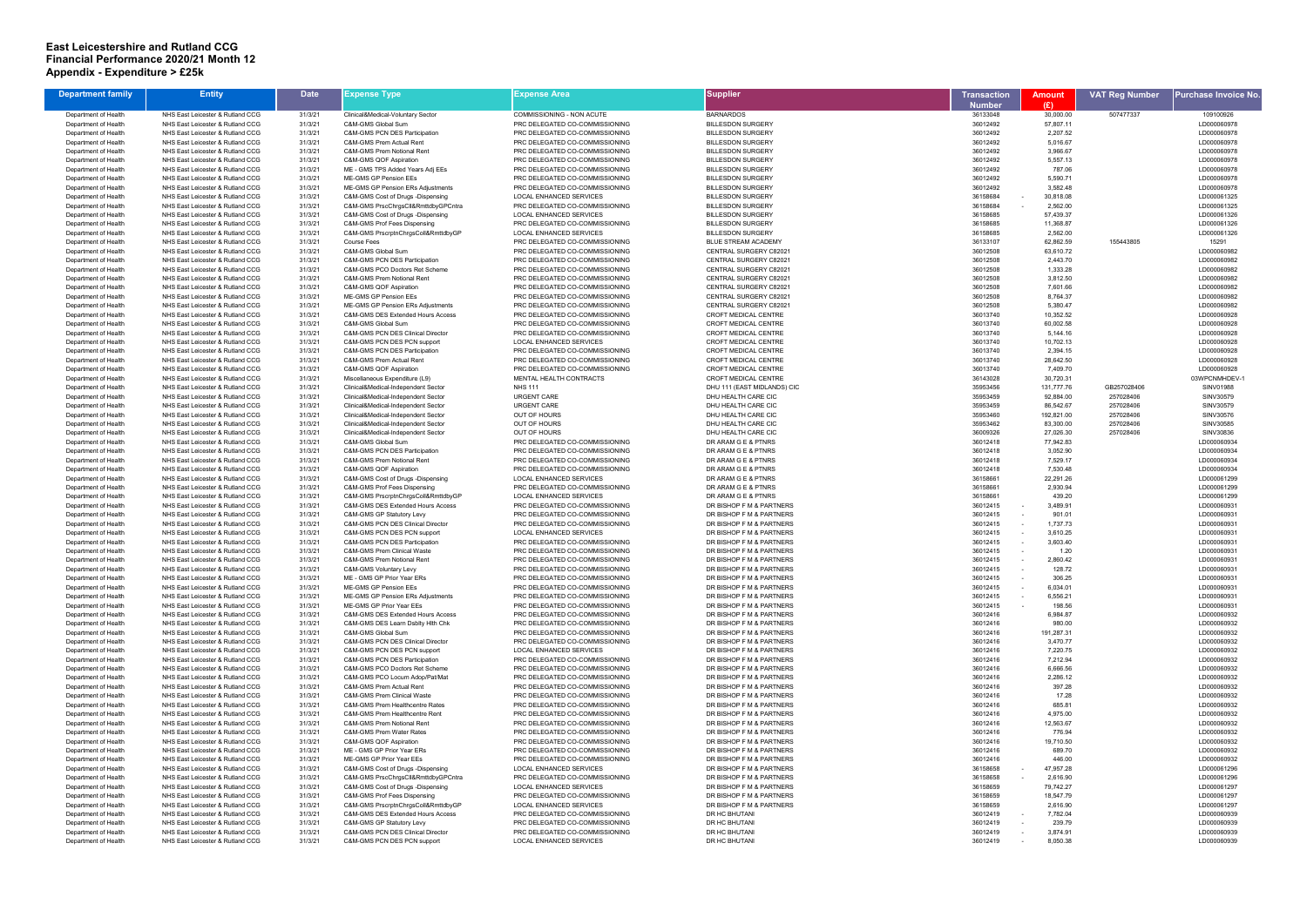## **East Leicestershire and Rutland CCG Financial Performance 2020/21 Month 12 Appendix - Expenditure > £25k**

| <b>Department family</b> | <b>Entity</b>                    | <b>Date</b> | Expense Type                        | Expense Area                   | Supplier                    | Transaction   | <b>Amount</b> | <b>VAT Reg Number</b> | <sup>o</sup> urchase Invoice No |
|--------------------------|----------------------------------|-------------|-------------------------------------|--------------------------------|-----------------------------|---------------|---------------|-----------------------|---------------------------------|
|                          |                                  |             |                                     |                                |                             |               |               |                       |                                 |
|                          |                                  |             |                                     |                                |                             | <b>Number</b> | (E)           |                       |                                 |
| Department of Health     | NHS East Leicester & Rutland CCG | 31/3/21     | Clinical&Medical-Voluntary Sector   | COMMISSIONING - NON ACUTE      | <b>BARNARDOS</b>            | 36133048      | 30,000.00     | 507477337             | 109100926                       |
| Department of Health     | NHS East Leicester & Rutland CCG | 31/3/21     | C&M-GMS Global Sum                  | PRC DELEGATED CO-COMMISSIONING | <b>BILLESDON SURGERY</b>    | 36012492      | 57,807.11     |                       | LD000060978                     |
| Department of Health     | NHS East Leicester & Rutland CCG | 31/3/21     | C&M-GMS PCN DES Participation       | PRC DELEGATED CO-COMMISSIONING | <b>BILLESDON SURGERY</b>    | 36012492      | 2,207.52      |                       | LD000060978                     |
| Department of Health     | NHS East Leicester & Rutland CCG | 31/3/21     | C&M-GMS Prem Actual Rent            | PRC DELEGATED CO-COMMISSIONING | <b>BILLESDON SURGERY</b>    | 36012492      | 5,016.67      |                       | LD000060978                     |
| Department of Health     | NHS East Leicester & Rutland CCG | 31/3/21     | C&M-GMS Prem Notional Rent          | PRC DELEGATED CO-COMMISSIONING | <b>BILLESDON SURGERY</b>    | 36012492      | 3,966.67      |                       | LD000060978                     |
| Department of Health     | NHS East Leicester & Rutland CCG | 31/3/21     | C&M-GMS QOF Aspiration              | PRC DELEGATED CO-COMMISSIONING | <b>BILLESDON SURGERY</b>    | 36012492      | 5,557.13      |                       | LD000060978                     |
| Department of Health     | NHS East Leicester & Rutland CCG | 31/3/21     | ME - GMS TPS Added Years Adj EEs    | PRC DELEGATED CO-COMMISSIONING | <b>BILLESDON SURGERY</b>    | 36012492      | 787.06        |                       | LD000060978                     |
| Department of Health     | NHS East Leicester & Rutland CCG | 31/3/21     | ME-GMS GP Pension EEs               | PRC DELEGATED CO-COMMISSIONING | <b>BILLESDON SURGERY</b>    | 36012492      | 5,590.71      |                       | LD000060978                     |
| Department of Health     | NHS East Leicester & Rutland CCG | 31/3/21     | ME-GMS GP Pension ERs Adjustments   | PRC DELEGATED CO-COMMISSIONING | <b>BILLESDON SURGERY</b>    | 36012492      | 3,582.48      |                       | LD000060978                     |
| Department of Health     | NHS East Leicester & Rutland CCG | 31/3/21     | C&M-GMS Cost of Drugs -Dispensing   | <b>LOCAL ENHANCED SERVICES</b> | <b>BILLESDON SURGERY</b>    | 36158684      | 30,818.08     |                       | LD000061325                     |
| Department of Health     | NHS East Leicester & Rutland CCG | 31/3/21     | C&M-GMS PrscChrgsCll&RmttdbyGPCntra | PRC DELEGATED CO-COMMISSIONING | <b>BILLESDON SURGERY</b>    | 36158684      | 2,562.00      |                       | LD000061325                     |
| Department of Health     | NHS East Leicester & Rutland CCG | 31/3/21     | C&M-GMS Cost of Drugs -Dispensing   | <b>LOCAL ENHANCED SERVICES</b> | <b>BILLESDON SURGERY</b>    | 36158685      | 57,439.37     |                       | LD000061326                     |
| Department of Health     | NHS East Leicester & Rutland CCG | 31/3/21     | C&M-GMS Prof Fees Dispensing        | PRC DELEGATED CO-COMMISSIONING | <b>BILLESDON SURGERY</b>    | 36158685      | 11,368.87     |                       | LD000061326                     |
| Department of Health     | NHS East Leicester & Rutland CCG | 31/3/21     | C&M-GMS PrscrptnChrgsColl&RmttdbyGP | <b>LOCAL ENHANCED SERVICES</b> | <b>BILLESDON SURGERY</b>    | 36158685      | 2,562.00      |                       | LD000061326                     |
| Department of Health     | NHS East Leicester & Rutland CCG | 31/3/21     | Course Fees                         | PRC DELEGATED CO-COMMISSIONING | <b>BLUE STREAM ACADEMY</b>  | 36133107      | 62,862.59     | 155443805             | 15291                           |
| Department of Health     | NHS East Leicester & Rutland CCG | 31/3/21     | C&M-GMS Global Sum                  | PRC DELEGATED CO-COMMISSIONING | CENTRAL SURGERY C82021      | 36012508      | 63,610.72     |                       | LD000060982                     |
|                          |                                  |             |                                     |                                |                             |               |               |                       |                                 |
| Department of Health     | NHS East Leicester & Rutland CCG | 31/3/21     | C&M-GMS PCN DES Participation       | PRC DELEGATED CO-COMMISSIONING | CENTRAL SURGERY C82021      | 36012508      | 2,443.70      |                       | LD000060982                     |
| Department of Health     | NHS East Leicester & Rutland CCG | 31/3/21     | C&M-GMS PCO Doctors Ret Scheme      | PRC DELEGATED CO-COMMISSIONING | CENTRAL SURGERY C82021      | 36012508      | 1,333.28      |                       | LD000060982                     |
| Department of Health     | NHS East Leicester & Rutland CCG | 31/3/21     | C&M-GMS Prem Notional Rent          | PRC DELEGATED CO-COMMISSIONING | CENTRAL SURGERY C82021      | 36012508      | 3,812.50      |                       | LD000060982                     |
| Department of Health     | NHS East Leicester & Rutland CCG | 31/3/21     | C&M-GMS QOF Aspiration              | PRC DELEGATED CO-COMMISSIONING | CENTRAL SURGERY C82021      | 36012508      | 7,601.66      |                       | LD000060982                     |
| Department of Health     | NHS East Leicester & Rutland CCG | 31/3/21     | ME-GMS GP Pension EEs               | PRC DELEGATED CO-COMMISSIONING | CENTRAL SURGERY C82021      | 36012508      | 8,764.37      |                       | LD000060982                     |
| Department of Health     | NHS East Leicester & Rutland CCG | 31/3/21     | ME-GMS GP Pension ERs Adjustments   | PRC DELEGATED CO-COMMISSIONING | CENTRAL SURGERY C82021      | 36012508      | 5,380.47      |                       | LD000060982                     |
| Department of Health     | NHS East Leicester & Rutland CCG | 31/3/21     | C&M-GMS DES Extended Hours Access   | PRC DELEGATED CO-COMMISSIONING | CROFT MEDICAL CENTRE        | 36013740      | 10,352.52     |                       | LD000060928                     |
| Department of Health     | NHS East Leicester & Rutland CCG | 31/3/21     | C&M-GMS Global Sum                  | PRC DELEGATED CO-COMMISSIONING | <b>CROFT MEDICAL CENTRE</b> | 36013740      | 60,002.58     |                       | LD000060928                     |
| Department of Health     | NHS East Leicester & Rutland CCG | 31/3/21     | C&M-GMS PCN DES Clinical Director   | PRC DELEGATED CO-COMMISSIONING | <b>CROFT MEDICAL CENTRE</b> | 36013740      | 5,144.16      |                       | LD000060928                     |
| Department of Health     | NHS East Leicester & Rutland CCG | 31/3/21     | C&M-GMS PCN DES PCN support         | <b>LOCAL ENHANCED SERVICES</b> | CROFT MEDICAL CENTRE        | 36013740      | 10,702.13     |                       | LD000060928                     |
| Department of Health     | NHS East Leicester & Rutland CCG | 31/3/21     | C&M-GMS PCN DES Participation       | PRC DELEGATED CO-COMMISSIONING | <b>CROFT MEDICAL CENTRE</b> | 36013740      | 2,394.15      |                       | LD000060928                     |
| Department of Health     | NHS East Leicester & Rutland CCG | 31/3/21     | C&M-GMS Prem Actual Rent            | PRC DELEGATED CO-COMMISSIONING | CROFT MEDICAL CENTRE        | 36013740      | 28,642.50     |                       | LD000060928                     |
| Department of Health     | NHS East Leicester & Rutland CCG | 31/3/21     | C&M-GMS QOF Aspiration              | PRC DELEGATED CO-COMMISSIONING | <b>CROFT MEDICAL CENTRE</b> | 36013740      | 7,409.70      |                       | LD000060928                     |
| Department of Health     | NHS East Leicester & Rutland CCG | 31/3/21     | Miscellaneous Expenditure (L9)      | MENTAL HEALTH CONTRACTS        | CROFT MEDICAL CENTRE        | 36143028      | 30,720.31     |                       | 03WPCNMHDEV-                    |
| Department of Health     | NHS East Leicester & Rutland CCG | 31/3/21     | Clinical&Medical-Independent Sector | <b>NHS 111</b>                 | DHU 111 (EAST MIDLANDS) CIC | 35953456      | 131,777.76    | GB257028406           | SINV01988                       |
| Department of Health     | NHS East Leicester & Rutland CCG | 31/3/21     | Clinical&Medical-Independent Sector | <b>URGENT CARE</b>             | DHU HEALTH CARE CIC         | 35953459      | 92,884.00     | 257028406             | SINV30579                       |
| Department of Health     | NHS East Leicester & Rutland CCG | 31/3/21     | Clinical&Medical-Independent Sector | <b>URGENT CARE</b>             | DHU HEALTH CARE CIC         | 35953459      | 86,542.67     | 257028406             | SINV30579                       |
| Department of Health     | NHS East Leicester & Rutland CCG | 31/3/21     | Clinical&Medical-Independent Sector | <b>OUT OF HOURS</b>            | DHU HEALTH CARE CIC         | 35953460      | 192,821.00    | 257028406             | SINV30576                       |
| Department of Health     | NHS East Leicester & Rutland CCG | 31/3/21     | Clinical&Medical-Independent Sector | <b>OUT OF HOURS</b>            | DHU HEALTH CARE CIC         | 35953462      | 83,300.00     | 257028406             | SINV30585                       |
|                          |                                  |             |                                     |                                |                             |               |               |                       |                                 |
| Department of Health     | NHS East Leicester & Rutland CCG | 31/3/21     | Clinical&Medical-Independent Sector | <b>OUT OF HOURS</b>            | DHU HEALTH CARE CIC         | 36009326      | 27,026.30     | 257028406             | SINV30836                       |
| Department of Health     | NHS East Leicester & Rutland CCG | 31/3/21     | C&M-GMS Global Sum                  | PRC DELEGATED CO-COMMISSIONING | DR ARAM G E & PTNRS         | 36012418      | 77,942.83     |                       | LD000060934                     |
| Department of Health     | NHS East Leicester & Rutland CCG | 31/3/21     | C&M-GMS PCN DES Participation       | PRC DELEGATED CO-COMMISSIONING | DR ARAM G E & PTNRS         | 36012418      | 3,052.90      |                       | LD000060934                     |
| Department of Health     | NHS East Leicester & Rutland CCG | 31/3/21     | C&M-GMS Prem Notional Rent          | PRC DELEGATED CO-COMMISSIONING | DR ARAM G E & PTNRS         | 36012418      | 7,529.17      |                       | LD000060934                     |
| Department of Health     | NHS East Leicester & Rutland CCG | 31/3/21     | C&M-GMS QOF Aspiration              | PRC DELEGATED CO-COMMISSIONING | DR ARAM G E & PTNRS         | 36012418      | 7,530.48      |                       | LD000060934                     |
| Department of Health     | NHS East Leicester & Rutland CCG | 31/3/21     | C&M-GMS Cost of Drugs -Dispensing   | LOCAL ENHANCED SERVICES        | DR ARAM G E & PTNRS         | 36158661      | 22,291.26     |                       | LD000061299                     |
| Department of Health     | NHS East Leicester & Rutland CCG | 31/3/21     | C&M-GMS Prof Fees Dispensing        | PRC DELEGATED CO-COMMISSIONING | DR ARAM G E & PTNRS         | 36158661      | 2,930.94      |                       | LD000061299                     |
| Department of Health     | NHS East Leicester & Rutland CCG | 31/3/21     | C&M-GMS PrscrptnChrgsColl&RmttdbyGP | <b>LOCAL ENHANCED SERVICES</b> | DR ARAM G E & PTNRS         | 36158661      | 439.20        |                       | LD000061299                     |
| Department of Health     | NHS East Leicester & Rutland CCG | 31/3/21     | C&M-GMS DES Extended Hours Access   | PRC DELEGATED CO-COMMISSIONING | DR BISHOP F M & PARTNERS    | 36012415      | 3,489.91      |                       | LD000060931                     |
| Department of Health     | NHS East Leicester & Rutland CCG | 31/3/21     | C&M-GMS GP Statutory Levy           | PRC DELEGATED CO-COMMISSIONING | DR BISHOP F M & PARTNERS    | 36012415      | 901.01        |                       | LD000060931                     |
| Department of Health     | NHS East Leicester & Rutland CCG | 31/3/21     | C&M-GMS PCN DES Clinical Director   | PRC DELEGATED CO-COMMISSIONING | DR BISHOP F M & PARTNERS    | 36012415      | 1,737.73      |                       | LD000060931                     |
| Department of Health     | NHS East Leicester & Rutland CCG | 31/3/21     | C&M-GMS PCN DES PCN support         | LOCAL ENHANCED SERVICES        | DR BISHOP F M & PARTNERS    | 36012415      | 3,610.25      |                       | LD000060931                     |
| Department of Health     | NHS East Leicester & Rutland CCG | 31/3/21     | C&M-GMS PCN DES Participation       | PRC DELEGATED CO-COMMISSIONING | DR BISHOP F M & PARTNERS    | 36012415      | 3,603.40      |                       | LD000060931                     |
| Department of Health     | NHS East Leicester & Rutland CCG | 31/3/21     | C&M-GMS Prem Clinical Waste         | PRC DELEGATED CO-COMMISSIONING | DR BISHOP F M & PARTNERS    | 36012415      | 1.20          |                       | LD000060931                     |
| Department of Health     | NHS East Leicester & Rutland CCC | 31/3/21     | C&M-GMS Prem Notional Rent          | PRC DELEGATED CO-COMMISSIONING | DR BISHOP F M & PARTNERS    | 36012415      | 2,860.42      |                       | LD000060931                     |
| Department of Health     | NHS East Leicester & Rutland CCG | 31/3/21     | C&M-GMS Voluntary Levy              | PRC DELEGATED CO-COMMISSIONING | DR BISHOP F M & PARTNERS    | 36012415      | 128.72        |                       | LD000060931                     |
| Department of Health     | NHS East Leicester & Rutland CCG | 31/3/21     | ME - GMS GP Prior Year ERs          | PRC DELEGATED CO-COMMISSIONING | DR BISHOP F M & PARTNERS    | 36012415      | 306.25        |                       | LD000060931                     |
| Department of Health     | NHS East Leicester & Rutland CCG | 31/3/21     | ME-GMS GP Pension EEs               | PRC DELEGATED CO-COMMISSIONING | DR BISHOP F M & PARTNERS    | 36012415      | 6,034.01      |                       | LD000060931                     |
|                          |                                  |             | ME-GMS GP Pension ERs Adiustments   |                                | DR BISHOP F M & PARTNERS    |               |               |                       |                                 |
| Department of Health     | NHS East Leicester & Rutland CCG | 31/3/21     | ME-GMS GP Prior Year EEs            | PRC DELEGATED CO-COMMISSIONING |                             | 36012415      | 6,556.21      |                       | LD000060931                     |
| Department of Health     | NHS East Leicester & Rutland CCG | 31/3/21     |                                     | PRC DELEGATED CO-COMMISSIONING | DR BISHOP F M & PARTNERS    | 36012415      | 198.56        |                       | LD000060931                     |
| Department of Health     | NHS East Leicester & Rutland CCG | 31/3/21     | C&M-GMS DES Extended Hours Access   | PRC DELEGATED CO-COMMISSIONING | DR BISHOP F M & PARTNERS    | 36012416      | 6,984.87      |                       | LD000060932                     |
| Department of Health     | NHS East Leicester & Rutland CCG | 31/3/21     | C&M-GMS DES Learn Dsblty Hlth Chk   | PRC DELEGATED CO-COMMISSIONING | DR BISHOP F M & PARTNERS    | 36012416      | 980.00        |                       | LD000060932                     |
| Department of Health     | NHS East Leicester & Rutland CCG | 31/3/21     | C&M-GMS Global Sum                  | PRC DELEGATED CO-COMMISSIONING | DR BISHOP F M & PARTNERS    | 36012416      | 191,287.31    |                       | LD000060932                     |
| Department of Health     | NHS East Leicester & Rutland CCG | 31/3/21     | C&M-GMS PCN DES Clinical Director   | PRC DELEGATED CO-COMMISSIONING | DR BISHOP F M & PARTNERS    | 36012416      | 3,470.77      |                       | LD000060932                     |
| Department of Health     | NHS East Leicester & Rutland CCG | 31/3/21     | C&M-GMS PCN DES PCN support         | <b>LOCAL ENHANCED SERVICES</b> | DR BISHOP F M & PARTNERS    | 36012416      | 7,220.75      |                       | LD000060932                     |
| Department of Health     | NHS East Leicester & Rutland CCG | 31/3/21     | C&M-GMS PCN DES Participation       | PRC DELEGATED CO-COMMISSIONING | DR BISHOP F M & PARTNERS    | 36012416      | 7,212.94      |                       | LD000060932                     |
| Department of Health     | NHS East Leicester & Rutland CCG | 31/3/21     | C&M-GMS PCO Doctors Ret Scheme      | PRC DELEGATED CO-COMMISSIONING | DR BISHOP F M & PARTNERS    | 36012416      | 6,666.56      |                       | LD000060932                     |
| Department of Health     | NHS East Leicester & Rutland CCG | 31/3/21     | C&M-GMS PCO Locum Adop/Pat/Mat      | PRC DELEGATED CO-COMMISSIONING | DR BISHOP F M & PARTNERS    | 36012416      | 2,286.12      |                       | LD000060932                     |
| Department of Health     | NHS East Leicester & Rutland CCG | 31/3/21     | C&M-GMS Prem Actual Rent            | PRC DELEGATED CO-COMMISSIONING | DR BISHOP F M & PARTNERS    | 36012416      | 397.28        |                       | LD000060932                     |
| Department of Health     | NHS East Leicester & Rutland CCG | 31/3/21     | C&M-GMS Prem Clinical Waste         | PRC DELEGATED CO-COMMISSIONING | DR BISHOP F M & PARTNERS    | 36012416      | 17.28         |                       | LD000060932                     |
| Department of Health     | NHS East Leicester & Rutland CCG | 31/3/21     | C&M-GMS Prem Healthcentre Rates     | PRC DELEGATED CO-COMMISSIONING | DR BISHOP F M & PARTNERS    | 36012416      | 685.81        |                       | LD000060932                     |
| Department of Health     | NHS East Leicester & Rutland CCG | 31/3/21     | C&M-GMS Prem Healthcentre Rent      | PRC DELEGATED CO-COMMISSIONING | DR BISHOP F M & PARTNERS    | 36012416      | 4,975.00      |                       | LD000060932                     |
| Department of Health     | NHS East Leicester & Rutland CCG | 31/3/21     | C&M-GMS Prem Notional Rent          | PRC DELEGATED CO-COMMISSIONING | DR BISHOP F M & PARTNERS    | 36012416      | 12,563.67     |                       | LD000060932                     |
| Department of Health     | NHS East Leicester & Rutland CCG | 31/3/21     | C&M-GMS Prem Water Rates            | PRC DELEGATED CO-COMMISSIONING | DR BISHOP F M & PARTNERS    | 36012416      | 776.94        |                       | LD000060932                     |
| Department of Health     | NHS East Leicester & Rutland CCG | 31/3/21     | C&M-GMS QOF Aspiration              | PRC DELEGATED CO-COMMISSIONING | DR BISHOP F M & PARTNERS    | 36012416      | 19,710.50     |                       | LD000060932                     |
| Department of Health     | NHS East Leicester & Rutland CCG | 31/3/21     | ME - GMS GP Prior Year ERs          | PRC DELEGATED CO-COMMISSIONING | DR BISHOP F M & PARTNERS    | 36012416      | 689.70        |                       | LD000060932                     |
| Department of Health     | NHS East Leicester & Rutland CCG | 31/3/21     | ME-GMS GP Prior Year EEs            | PRC DELEGATED CO-COMMISSIONING | DR BISHOP F M & PARTNERS    | 36012416      | 446.00        |                       | LD000060932                     |
| Department of Health     | NHS East Leicester & Rutland CCG | 31/3/21     | C&M-GMS Cost of Drugs -Dispensing   | LOCAL ENHANCED SERVICES        | DR BISHOP F M & PARTNERS    | 36158658      | 47,957.28     |                       | LD000061296                     |
| Department of Health     | NHS East Leicester & Rutland CCG | 31/3/21     | C&M-GMS PrscChrgsCll&RmttdbyGPCntra | PRC DELEGATED CO-COMMISSIONING | DR BISHOP F M & PARTNERS    | 36158658      | 2,616.90      |                       | LD000061296                     |
| Department of Health     | NHS East Leicester & Rutland CCG | 31/3/21     | C&M-GMS Cost of Drugs -Dispensing   | LOCAL ENHANCED SERVICES        | DR BISHOP F M & PARTNERS    | 36158659      | 79,742.27     |                       | LD000061297                     |
| Department of Health     | NHS East Leicester & Rutland CCG | 31/3/21     | C&M-GMS Prof Fees Dispensing        | PRC DELEGATED CO-COMMISSIONING | DR BISHOP F M & PARTNERS    | 36158659      | 18,547.79     |                       | LD000061297                     |
| Department of Health     | NHS East Leicester & Rutland CCG | 31/3/21     | C&M-GMS PrscrptnChrgsColl&RmttdbyGP | LOCAL ENHANCED SERVICES        | DR BISHOP F M & PARTNERS    | 36158659      | 2,616.90      |                       | LD000061297                     |
|                          | NHS East Leicester & Rutland CCG | 31/3/21     | C&M-GMS DES Extended Hours Access   | PRC DELEGATED CO-COMMISSIONING | DR HC BHUTANI               | 36012419      | 7,782.04      |                       | LD000060939                     |
| Department of Health     |                                  |             |                                     |                                |                             |               |               |                       |                                 |
| Department of Health     | NHS East Leicester & Rutland CCG | 31/3/21     | C&M-GMS GP Statutory Levy           | PRC DELEGATED CO-COMMISSIONING | DR HC BHUTANI               | 36012419      | 239.79        |                       | LD000060939                     |
| Department of Health     | NHS East Leicester & Rutland CCG | 31/3/21     | C&M-GMS PCN DES Clinical Director   | PRC DELEGATED CO-COMMISSIONING | DR HC BHUTANI               | 36012419      | 3,874.91      |                       | LD000060939                     |
| Department of Health     | NHS East Leicester & Rutland CCG | 31/3/21     | C&M-GMS PCN DES PCN support         | <b>LOCAL ENHANCED SERVICES</b> | DR HC BHUTANI               | 36012419      | 8,050.38      |                       | LD000060939                     |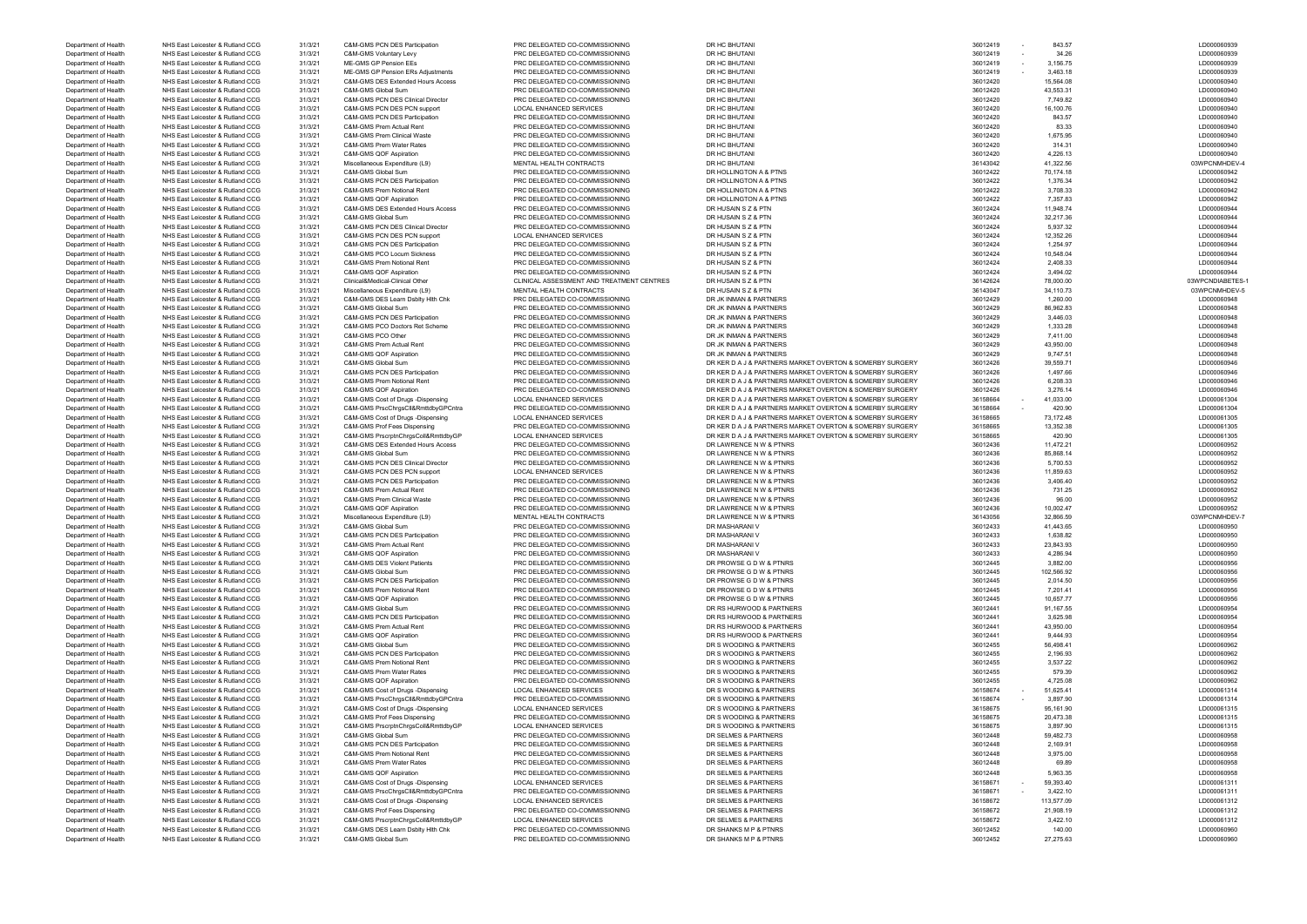| Department or Healt  | NITO EASL LUICUSTUI & RUITAITU CCC | <b>J</b> 1/J/Z 1 | <b>CONFOND PUN DES Participation</b>     | <b>PRO DELEGATED CO-COMMISSIONING</b>     | <b>UR AV DAVIAN</b>                                      | <b>30012419</b>    |            | <b>LDOOOOOOA</b> |
|----------------------|------------------------------------|------------------|------------------------------------------|-------------------------------------------|----------------------------------------------------------|--------------------|------------|------------------|
| Department of Health | NHS East Leicester & Rutland CCG   | 31/3/21          | C&M-GMS Voluntary Levy                   | PRC DELEGATED CO-COMMISSIONING            | DR HC BHUTANI                                            | 36012419<br>$\sim$ | 34.26      | LD000060939      |
| Department of Health | NHS East Leicester & Rutland CCG   | 31/3/21          | ME-GMS GP Pension EEs                    | PRC DELEGATED CO-COMMISSIONING            | DR HC BHUTANI                                            | 36012419           | 3,156.75   | LD000060939      |
| Department of Health | NHS East Leicester & Rutland CCG   | 31/3/21          | ME-GMS GP Pension ERs Adjustments        | PRC DELEGATED CO-COMMISSIONING            | DR HC BHUTANI                                            | 36012419           | 3,463.18   | LD000060939      |
| Department of Health | NHS East Leicester & Rutland CCG   |                  | C&M-GMS DES Extended Hours Access        |                                           | DR HC BHUTANI                                            |                    | 15,564.08  | LD000060940      |
|                      |                                    | 31/3/21          |                                          | PRC DELEGATED CO-COMMISSIONING            |                                                          | 36012420           |            |                  |
| Department of Health | NHS East Leicester & Rutland CCG   | 31/3/21          | C&M-GMS Global Sum                       | PRC DELEGATED CO-COMMISSIONING            | DR HC BHUTANI                                            | 36012420           | 43,553.31  | LD000060940      |
| Department of Health | NHS East Leicester & Rutland CCG   | 31/3/21          | C&M-GMS PCN DES Clinical Director        | PRC DELEGATED CO-COMMISSIONING            | DR HC BHUTANI                                            | 36012420           | 7,749.82   | LD000060940      |
| Department of Health | NHS East Leicester & Rutland CCG   | 31/3/21          | C&M-GMS PCN DES PCN support              | <b>LOCAL ENHANCED SERVICES</b>            | DR HC BHUTANI                                            | 36012420           | 16,100.76  | LD000060940      |
| Department of Health | NHS East Leicester & Rutland CCG   | 31/3/21          | C&M-GMS PCN DES Participation            | PRC DELEGATED CO-COMMISSIONING            | DR HC BHUTANI                                            | 36012420           | 843.57     | LD000060940      |
| Department of Health | NHS East Leicester & Rutland CCG   | 31/3/21          | C&M-GMS Prem Actual Rent                 | PRC DELEGATED CO-COMMISSIONING            | DR HC BHUTANI                                            | 36012420           | 83.33      | LD000060940      |
| Department of Health | NHS East Leicester & Rutland CCG   | 31/3/21          | C&M-GMS Prem Clinical Waste              | PRC DELEGATED CO-COMMISSIONING            | DR HC BHUTANI                                            | 36012420           | 1,675.95   | LD000060940      |
| Department of Health | NHS East Leicester & Rutland CCG   | 31/3/21          | C&M-GMS Prem Water Rates                 | PRC DELEGATED CO-COMMISSIONING            | DR HC BHUTANI                                            | 36012420           | 314.31     | LD000060940      |
| Department of Health | NHS East Leicester & Rutland CCG   | 31/3/21          | C&M-GMS QOF Aspiration                   | PRC DELEGATED CO-COMMISSIONING            | DR HC BHUTANI                                            | 36012420           | 4,226.13   | LD000060940      |
| Department of Health | NHS East Leicester & Rutland CCG   |                  |                                          | MENTAL HEALTH CONTRACTS                   |                                                          |                    |            | 03WPCNMHDE       |
|                      |                                    | 31/3/21          | Miscellaneous Expenditure (L9)           |                                           | DR HC BHUTANI                                            | 36143042           | 41,322.56  |                  |
| Department of Health | NHS East Leicester & Rutland CCG   | 31/3/21          | C&M-GMS Global Sum                       | PRC DELEGATED CO-COMMISSIONING            | DR HOLLINGTON A & PTNS                                   | 36012422           | 70,174.18  | LD000060942      |
| Department of Health | NHS East Leicester & Rutland CCG   | 31/3/21          | <b>C&amp;M-GMS PCN DES Participation</b> | PRC DELEGATED CO-COMMISSIONING            | DR HOLLINGTON A & PTNS                                   | 36012422           | 1,376.34   | LD000060942      |
| Department of Health | NHS East Leicester & Rutland CCG   | 31/3/21          | C&M-GMS Prem Notional Rent               | PRC DELEGATED CO-COMMISSIONING            | DR HOLLINGTON A & PTNS                                   | 36012422           | 3,708.33   | LD000060942      |
| Department of Health | NHS East Leicester & Rutland CCG   | 31/3/21          | C&M-GMS QOF Aspiration                   | PRC DELEGATED CO-COMMISSIONING            | DR HOLLINGTON A & PTNS                                   | 36012422           | 7,357.83   | LD000060942      |
| Department of Health | NHS East Leicester & Rutland CCG   | 31/3/21          | C&M-GMS DES Extended Hours Access        | PRC DELEGATED CO-COMMISSIONING            | DR HUSAIN S Z & PTN                                      | 36012424           | 11,948.74  | LD000060944      |
| Department of Health | NHS East Leicester & Rutland CCG   | 31/3/21          | C&M-GMS Global Sum                       | PRC DELEGATED CO-COMMISSIONING            | DR HUSAIN S Z & PTN                                      | 36012424           | 32,217.36  | LD000060944      |
| Department of Health | NHS East Leicester & Rutland CCG   | 31/3/21          | C&M-GMS PCN DES Clinical Director        | PRC DELEGATED CO-COMMISSIONING            | DR HUSAIN S Z & PTN                                      | 36012424           | 5,937.32   | LD000060944      |
|                      |                                    |                  |                                          |                                           |                                                          |                    |            |                  |
| Department of Health | NHS East Leicester & Rutland CCG   | 31/3/21          | C&M-GMS PCN DES PCN support              | <b>LOCAL ENHANCED SERVICES</b>            | DR HUSAIN S Z & PTN                                      | 36012424           | 12,352.26  | LD000060944      |
| Department of Health | NHS East Leicester & Rutland CCG   | 31/3/21          | <b>C&amp;M-GMS PCN DES Participation</b> | PRC DELEGATED CO-COMMISSIONING            | DR HUSAIN S Z & PTN                                      | 36012424           | 1,254.97   | LD000060944      |
| Department of Health | NHS East Leicester & Rutland CCG   | 31/3/21          | C&M-GMS PCO Locum Sickness               | PRC DELEGATED CO-COMMISSIONING            | DR HUSAIN S Z & PTN                                      | 36012424           | 10,548.04  | LD000060944      |
| Department of Health | NHS East Leicester & Rutland CCG   | 31/3/21          | C&M-GMS Prem Notional Rent               | PRC DELEGATED CO-COMMISSIONING            | DR HUSAIN S Z & PTN                                      | 36012424           | 2,408.33   | LD000060944      |
| Department of Health | NHS East Leicester & Rutland CCG   | 31/3/21          | C&M-GMS QOF Aspiration                   | PRC DELEGATED CO-COMMISSIONING            | DR HUSAIN S Z & PTN                                      | 36012424           | 3,494.02   | LD000060944      |
| Department of Health | NHS East Leicester & Rutland CCG   | 31/3/21          | Clinical&Medical-Clinical Other          | CLINICAL ASSESSMENT AND TREATMENT CENTRES | DR HUSAIN S Z & PTN                                      | 36142624           | 78,000.00  | 03WPCNDIABET     |
| Department of Health | NHS East Leicester & Rutland CCG   | 31/3/21          | Miscellaneous Expenditure (L9)           | MENTAL HEALTH CONTRACTS                   | DR HUSAIN S Z & PTN                                      | 36143047           | 34,110.73  | 03WPCNMHDE       |
| Department of Health | NHS East Leicester & Rutland CCG   | 31/3/21          | C&M-GMS DES Learn Dsblty Hith Chk        | PRC DELEGATED CO-COMMISSIONING            | DR JK INMAN & PARTNERS                                   | 36012429           | 1,260.00   | LD000060948      |
|                      | NHS East Leicester & Rutland CCG   |                  | C&M-GMS Global Sum                       | PRC DELEGATED CO-COMMISSIONING            | DR JK INMAN & PARTNERS                                   | 36012429           |            | LD000060948      |
| Department of Health |                                    | 31/3/21          |                                          |                                           |                                                          |                    | 86,962.83  |                  |
| Department of Health | NHS East Leicester & Rutland CCG   | 31/3/21          | C&M-GMS PCN DES Participation            | PRC DELEGATED CO-COMMISSIONING            | DR JK INMAN & PARTNERS                                   | 36012429           | 3,446.03   | LD000060948      |
| Department of Health | NHS East Leicester & Rutland CCG   | 31/3/21          | C&M-GMS PCO Doctors Ret Scheme           | PRC DELEGATED CO-COMMISSIONING            | DR JK INMAN & PARTNERS                                   | 36012429           | 1,333.28   | LD000060948      |
| Department of Health | NHS East Leicester & Rutland CCG   | 31/3/21          | C&M-GMS PCO Other                        | PRC DELEGATED CO-COMMISSIONING            | DR JK INMAN & PARTNERS                                   | 36012429           | 7,411.00   | LD000060948      |
| Department of Health | NHS East Leicester & Rutland CCG   | 31/3/21          | C&M-GMS Prem Actual Rent                 | PRC DELEGATED CO-COMMISSIONING            | DR JK INMAN & PARTNERS                                   | 36012429           | 43,950.00  | LD000060948      |
| Department of Health | NHS East Leicester & Rutland CCG   | 31/3/21          | C&M-GMS QOF Aspiration                   | PRC DELEGATED CO-COMMISSIONING            | DR JK INMAN & PARTNERS                                   | 36012429           | 9,747.51   | LD000060948      |
| Department of Health | NHS East Leicester & Rutland CCG   | 31/3/21          | C&M-GMS Global Sum                       | PRC DELEGATED CO-COMMISSIONING            | DR KER D A J & PARTNERS MARKET OVERTON & SOMERBY SURGERY | 36012426           | 39,559.71  | LD000060946      |
| Department of Health | NHS East Leicester & Rutland CCG   | 31/3/21          | <b>C&amp;M-GMS PCN DES Participation</b> | PRC DELEGATED CO-COMMISSIONING            | DR KER D A J & PARTNERS MARKET OVERTON & SOMERBY SURGERY | 36012426           | 1,497.66   | LD000060946      |
| Department of Health | NHS East Leicester & Rutland CCG   | 31/3/21          | C&M-GMS Prem Notional Rent               | PRC DELEGATED CO-COMMISSIONING            | DR KER D A J & PARTNERS MARKET OVERTON & SOMERBY SURGERY | 36012426           | 6,208.33   | LD000060946      |
|                      |                                    |                  |                                          |                                           |                                                          |                    |            |                  |
| Department of Health | NHS East Leicester & Rutland CCG   | 31/3/21          | C&M-GMS QOF Aspiration                   | PRC DELEGATED CO-COMMISSIONING            | DR KER D A J & PARTNERS MARKET OVERTON & SOMERBY SURGERY | 36012426           | 3,276.14   | LD000060946      |
| Department of Health | NHS East Leicester & Rutland CCG   | 31/3/21          | C&M-GMS Cost of Drugs -Dispensing        | <b>LOCAL ENHANCED SERVICES</b>            | DR KER D A J & PARTNERS MARKET OVERTON & SOMERBY SURGERY | 36158664           | 41,033.00  | LD000061304      |
| Department of Health | NHS East Leicester & Rutland CCG   | 31/3/21          | C&M-GMS PrscChrgsCll&RmttdbyGPCntra      | PRC DELEGATED CO-COMMISSIONING            | DR KER D A J & PARTNERS MARKET OVERTON & SOMERBY SURGERY | 36158664           | 420.90     | LD000061304      |
| Department of Health | NHS East Leicester & Rutland CCG   | 31/3/21          | C&M-GMS Cost of Drugs -Dispensing        | <b>LOCAL ENHANCED SERVICES</b>            | DR KER D A J & PARTNERS MARKET OVERTON & SOMERBY SURGERY | 36158665           | 73,172.48  | LD000061305      |
| Department of Health | NHS East Leicester & Rutland CCG   | 31/3/21          | C&M-GMS Prof Fees Dispensing             | PRC DELEGATED CO-COMMISSIONING            | DR KER D A J & PARTNERS MARKET OVERTON & SOMERBY SURGERY | 36158665           | 13,352.38  | LD000061305      |
| Department of Health | NHS East Leicester & Rutland CCG   | 31/3/21          | C&M-GMS PrscrptnChrgsColl&RmttdbyGP      | <b>LOCAL ENHANCED SERVICES</b>            | DR KER D A J & PARTNERS MARKET OVERTON & SOMERBY SURGERY | 36158665           | 420.90     | LD000061305      |
| Department of Health | NHS East Leicester & Rutland CCG   | 31/3/21          | C&M-GMS DES Extended Hours Access        | PRC DELEGATED CO-COMMISSIONING            | DR LAWRENCE N W & PTNRS                                  | 36012436           | 11,472.21  | LD000060952      |
| Department of Health | NHS East Leicester & Rutland CCG   | 31/3/21          | C&M-GMS Global Sum                       | PRC DELEGATED CO-COMMISSIONING            | DR LAWRENCE N W & PTNRS                                  | 36012436           | 85,868.14  | LD000060952      |
|                      | NHS East Leicester & Rutland CCG   | 31/3/21          | C&M-GMS PCN DES Clinical Director        | PRC DELEGATED CO-COMMISSIONING            | DR LAWRENCE N W & PTNRS                                  | 36012436           | 5,700.53   | LD000060952      |
| Department of Health |                                    |                  |                                          |                                           |                                                          |                    |            |                  |
| Department of Health | NHS East Leicester & Rutland CCG   | 31/3/21          | C&M-GMS PCN DES PCN support              | LOCAL ENHANCED SERVICES                   | DR LAWRENCE N W & PTNRS                                  | 36012436           | 11,859.63  | LD000060952      |
| Department of Health | NHS East Leicester & Rutland CCG   | 31/3/21          | <b>C&amp;M-GMS PCN DES Participation</b> | PRC DELEGATED CO-COMMISSIONING            | DR LAWRENCE N W & PTNRS                                  | 36012436           | 3,406.40   | LD000060952      |
| Department of Health | NHS East Leicester & Rutland CCG   | 31/3/21          | C&M-GMS Prem Actual Rent                 | PRC DELEGATED CO-COMMISSIONING            | DR LAWRENCE N W & PTNRS                                  | 36012436           | 731.25     | LD000060952      |
| Department of Health | NHS East Leicester & Rutland CCG   | 31/3/21          | C&M-GMS Prem Clinical Waste              | PRC DELEGATED CO-COMMISSIONING            | DR LAWRENCE N W & PTNRS                                  | 36012436           | 96.00      | LD000060952      |
| Department of Health | NHS East Leicester & Rutland CCG   | 31/3/21          | C&M-GMS QOF Aspiration                   | PRC DELEGATED CO-COMMISSIONING            | DR LAWRENCE N W & PTNRS                                  | 36012436           | 10,002.47  | LD000060952      |
| Department of Health | NHS East Leicester & Rutland CCG   | 31/3/21          | Miscellaneous Expenditure (L9)           | MENTAL HEALTH CONTRACTS                   | DR LAWRENCE N W & PTNRS                                  | 36143056           | 32,866.59  | 03WPCNMHDE       |
| Department of Health | NHS East Leicester & Rutland CCG   | 31/3/21          | C&M-GMS Global Sum                       | PRC DELEGATED CO-COMMISSIONING            | DR MASHARANI V                                           | 36012433           | 41,443.65  | LD000060950      |
|                      |                                    |                  |                                          |                                           |                                                          |                    |            |                  |
| Department of Health | NHS East Leicester & Rutland CCG   | 31/3/21          | C&M-GMS PCN DES Participation            | PRC DELEGATED CO-COMMISSIONING            | DR MASHARANI V                                           | 36012433           | 1,638.82   | LD000060950      |
| Department of Health | NHS East Leicester & Rutland CCG   | 31/3/21          | C&M-GMS Prem Actual Rent                 | PRC DELEGATED CO-COMMISSIONING            | DR MASHARANI V                                           | 36012433           | 23,843.93  | LD000060950      |
| Department of Health | NHS East Leicester & Rutland CCG   | 31/3/21          | C&M-GMS QOF Aspiration                   | PRC DELEGATED CO-COMMISSIONING            | DR MASHARANI V                                           | 36012433           | 4,286.94   | LD000060950      |
| Department of Health | NHS East Leicester & Rutland CCG   | 31/3/21          | <b>C&amp;M-GMS DES Violent Patients</b>  | PRC DELEGATED CO-COMMISSIONING            | DR PROWSE G D W & PTNRS                                  | 36012445           | 3,882.00   | LD000060956      |
| Department of Health | NHS East Leicester & Rutland CCG   | 31/3/21          | C&M-GMS Global Sum                       | PRC DELEGATED CO-COMMISSIONING            | DR PROWSE G D W & PTNRS                                  | 36012445           | 102,566.92 | LD000060956      |
| Department of Health | NHS East Leicester & Rutland CCG   | 31/3/21          | C&M-GMS PCN DES Participation            | PRC DELEGATED CO-COMMISSIONING            | DR PROWSE G D W & PTNRS                                  | 36012445           | 2,014.50   | LD000060956      |
| Department of Health | NHS East Leicester & Rutland CCG   | 31/3/21          | C&M-GMS Prem Notional Rent               | PRC DELEGATED CO-COMMISSIONING            | DR PROWSE G D W & PTNRS                                  | 36012445           | 7,201.41   | LD000060956      |
| Department of Health | NHS East Leicester & Rutland CCG   | 31/3/21          | C&M-GMS QOF Aspiration                   | PRC DELEGATED CO-COMMISSIONING            | DR PROWSE G D W & PTNRS                                  | 36012445           | 10,657.77  | LD000060956      |
| Department of Health | NHS East Leicester & Rutland CCG   | 31/3/21          | C&M-GMS Global Sum                       | PRC DELEGATED CO-COMMISSIONING            | DR RS HURWOOD & PARTNERS                                 | 36012441           | 91,167.55  | LD000060954      |
|                      |                                    |                  |                                          |                                           |                                                          |                    |            |                  |
| Department of Health | NHS East Leicester & Rutland CCG   | 31/3/21          | <b>C&amp;M-GMS PCN DES Participation</b> | PRC DELEGATED CO-COMMISSIONING            | DR RS HURWOOD & PARTNERS                                 | 36012441           | 3,625.98   | LD000060954      |
| Department of Health | NHS East Leicester & Rutland CCG   | 31/3/21          | C&M-GMS Prem Actual Rent                 | PRC DELEGATED CO-COMMISSIONING            | DR RS HURWOOD & PARTNERS                                 | 36012441           | 43,950.00  | LD000060954      |
| Department of Health | NHS East Leicester & Rutland CCG   | 31/3/21          | C&M-GMS QOF Aspiration                   | PRC DELEGATED CO-COMMISSIONING            | DR RS HURWOOD & PARTNERS                                 | 36012441           | 9,444.93   | LD000060954      |
| Department of Health | NHS East Leicester & Rutland CCG   | 31/3/21          | C&M-GMS Global Sum                       | PRC DELEGATED CO-COMMISSIONING            | DR S WOODING & PARTNERS                                  | 36012455           | 56,498.41  | LD000060962      |
| Department of Health | NHS East Leicester & Rutland CCG   | 31/3/21          | C&M-GMS PCN DES Participation            | PRC DELEGATED CO-COMMISSIONING            | DR S WOODING & PARTNERS                                  | 36012455           | 2,196.93   | LD000060962      |
| Department of Health | NHS East Leicester & Rutland CCG   | 31/3/21          | C&M-GMS Prem Notional Rent               | PRC DELEGATED CO-COMMISSIONING            | DR S WOODING & PARTNERS                                  | 36012455           | 3,537.22   | LD000060962      |
| Department of Health | NHS East Leicester & Rutland CCG   | 31/3/21          | C&M-GMS Prem Water Rates                 | PRC DELEGATED CO-COMMISSIONING            | DR S WOODING & PARTNERS                                  | 36012455           | 579.39     | LD000060962      |
| Department of Health | NHS East Leicester & Rutland CCG   | 31/3/21          | C&M-GMS QOF Aspiration                   | PRC DELEGATED CO-COMMISSIONING            | DR S WOODING & PARTNERS                                  | 36012455           | 4,725.08   | LD000060962      |
| Department of Health | NHS East Leicester & Rutland CCG   | 31/3/21          | C&M-GMS Cost of Drugs -Dispensing        |                                           |                                                          | 36158674           | 51,625.41  | LD000061314      |
|                      |                                    |                  |                                          | LOCAL ENHANCED SERVICES                   | DR S WOODING & PARTNERS                                  |                    |            |                  |
| Department of Health | NHS East Leicester & Rutland CCG   | 31/3/21          | C&M-GMS PrscChrgsCll&RmttdbyGPCntra      | PRC DELEGATED CO-COMMISSIONING            | DR S WOODING & PARTNERS                                  | 36158674<br>$\sim$ | 3,897.90   | LD000061314      |
| Department of Health | NHS East Leicester & Rutland CCG   | 31/3/21          | C&M-GMS Cost of Drugs -Dispensing        | <b>LOCAL ENHANCED SERVICES</b>            | DR S WOODING & PARTNERS                                  | 36158675           | 95,161.90  | LD000061315      |
| Department of Health | NHS East Leicester & Rutland CCG   | 31/3/21          | C&M-GMS Prof Fees Dispensing             | PRC DELEGATED CO-COMMISSIONING            | DR S WOODING & PARTNERS                                  | 36158675           | 20,473.38  | LD000061315      |
| Department of Health | NHS East Leicester & Rutland CCG   | 31/3/21          | C&M-GMS PrscrptnChrgsColl&RmttdbyGP      | LOCAL ENHANCED SERVICES                   | DR S WOODING & PARTNERS                                  | 36158675           | 3,897.90   | LD000061315      |
| Department of Health | NHS East Leicester & Rutland CCG   | 31/3/21          | C&M-GMS Global Sum                       | PRC DELEGATED CO-COMMISSIONING            | DR SELMES & PARTNERS                                     | 36012448           | 59,482.73  | LD000060958      |
| Department of Health | NHS East Leicester & Rutland CCG   | 31/3/21          | C&M-GMS PCN DES Participation            | PRC DELEGATED CO-COMMISSIONING            | DR SELMES & PARTNERS                                     | 36012448           | 2,169.91   | LD000060958      |
| Department of Health | NHS East Leicester & Rutland CCG   | 31/3/21          | C&M-GMS Prem Notional Rent               | PRC DELEGATED CO-COMMISSIONING            | DR SELMES & PARTNERS                                     | 36012448           | 3,975.00   | LD000060958      |
| Department of Health | NHS East Leicester & Rutland CCG   | 31/3/21          | C&M-GMS Prem Water Rates                 | PRC DELEGATED CO-COMMISSIONING            | DR SELMES & PARTNERS                                     | 36012448           | 69.89      | LD000060958      |
|                      |                                    |                  |                                          |                                           |                                                          |                    |            |                  |
| Department of Health | NHS East Leicester & Rutland CCG   | 31/3/21          | C&M-GMS QOF Aspiration                   | PRC DELEGATED CO-COMMISSIONING            | DR SELMES & PARTNERS                                     | 36012448           | 5,963.35   | LD000060958      |
| Department of Health | NHS East Leicester & Rutland CCG   | 31/3/21          | C&M-GMS Cost of Drugs -Dispensing        | <b>LOCAL ENHANCED SERVICES</b>            | DR SELMES & PARTNERS                                     | 36158671           | 59,393.40  | LD000061311      |
| Department of Health | NHS East Leicester & Rutland CCG   | 31/3/21          | C&M-GMS PrscChrgsCll&RmttdbyGPCntra      | PRC DELEGATED CO-COMMISSIONING            | DR SELMES & PARTNERS                                     | 36158671           | 3,422.10   | LD000061311      |
| Department of Health | NHS East Leicester & Rutland CCG   | 31/3/21          | C&M-GMS Cost of Drugs -Dispensing        | LOCAL ENHANCED SERVICES                   | DR SELMES & PARTNERS                                     | 36158672           | 113,577.09 | LD000061312      |
| Department of Health | NHS East Leicester & Rutland CCG   | 31/3/21          | C&M-GMS Prof Fees Dispensing             | PRC DELEGATED CO-COMMISSIONING            | DR SELMES & PARTNERS                                     | 36158672           | 21,908.19  | LD000061312      |
|                      | NHS East Leicester & Rutland CCG   |                  |                                          | <b>LOCAL ENHANCED SERVICES</b>            |                                                          | 36158672           |            |                  |
| Department of Health |                                    | 31/3/21          | C&M-GMS PrscrptnChrgsColl&RmttdbyGP      |                                           | DR SELMES & PARTNERS                                     |                    | 3,422.10   | LD000061312      |
| Department of Health | NHS East Leicester & Rutland CCG   | 31/3/21          | C&M-GMS DES Learn Dsblty Hlth Chk        | PRC DELEGATED CO-COMMISSIONING            | DR SHANKS M P & PTNRS                                    | 36012452           | 140.00     | LD000060960      |
| Department of Health | NHS East Leicester & Rutland CCG   | 31/3/21          | C&M-GMS Global Sum                       | PRC DELEGATED CO-COMMISSIONING            | DR SHANKS M P & PTNRS                                    | 36012452           | 27,275.63  | LD000060960      |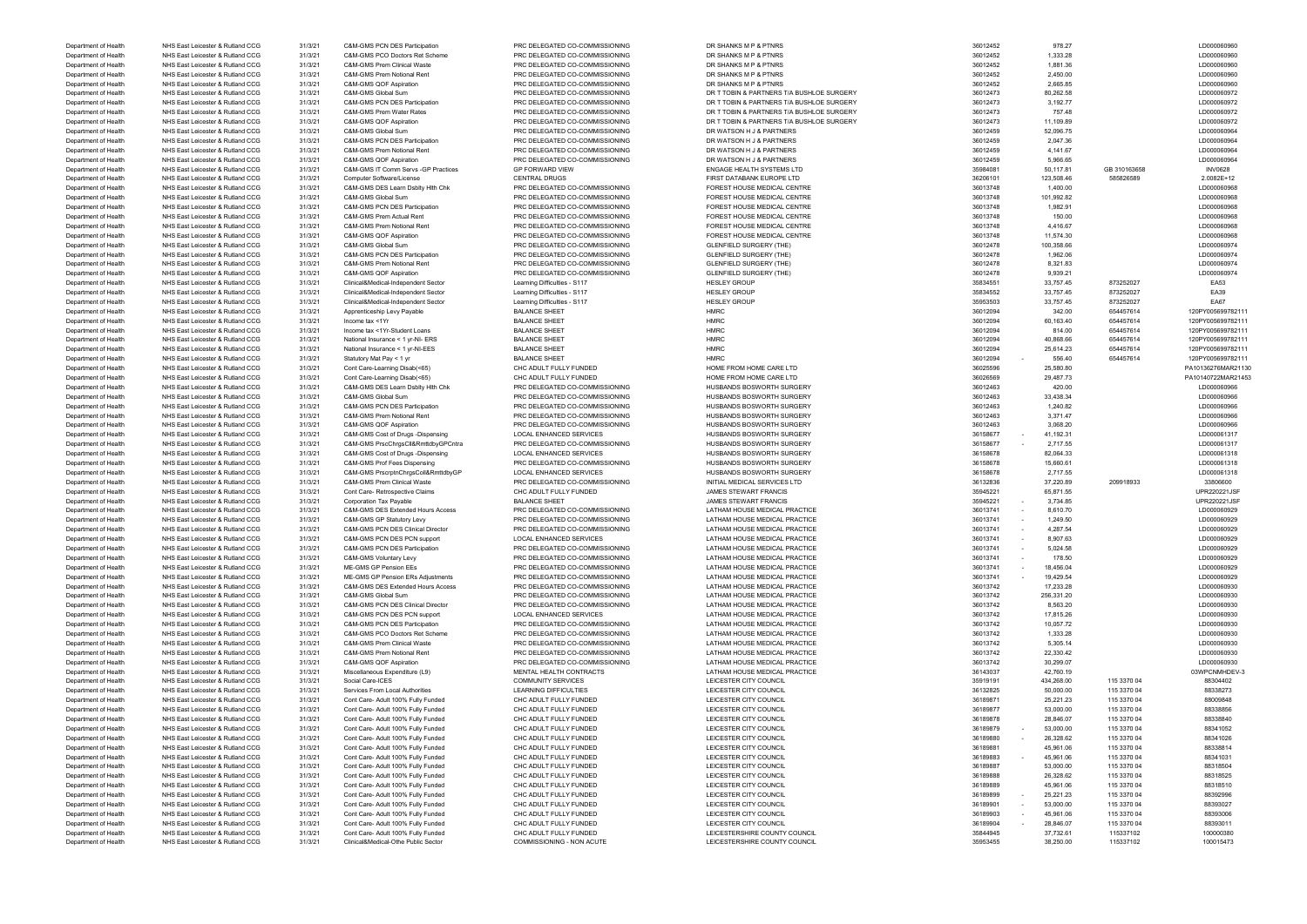| LD000060960                |
|----------------------------|
| LD000060960                |
| LD000060960                |
| LD000060960                |
| LD000060972                |
| LD000060972                |
| LD000060972                |
| LD000060972                |
| LD000060964                |
| LD000060964                |
| LD000060964                |
| LD000060964                |
| <b>INV0628</b>             |
| 2.0082E+12                 |
| LD000060968                |
| LD000060968                |
| LD000060968                |
| LD000060968                |
| LD000060968                |
| LD000060968                |
| LD000060974                |
| LD000060974                |
| LD000060974                |
| LD000060974                |
| EA53                       |
| EA39                       |
| <b>EA67</b>                |
| 120PY005699782111          |
| 120PY005699782111          |
| 120PY005699782111          |
| 120PY005699782111          |
| 120PY005699782111          |
| 120PY005699782111          |
| PA10136276MAR21130         |
| PA10140722MAR21453         |
| LD000060966                |
| LD000060966                |
| LD000060966                |
| LD000060966                |
| LD000060966                |
| LD000061317                |
| LD000061317                |
| LD000061318                |
| LD000061318                |
| LD000061318                |
| 33806600                   |
| UPR220221JSF               |
| UPR220221JSF               |
| LD000060929                |
| LD000060929                |
| LD000060929                |
| D000060929                 |
| LD000060929                |
| LD000060929                |
|                            |
| LD000060929<br>LD000060929 |
|                            |
| LD000060930<br>LD000060930 |
|                            |
| LD000060930                |
| LD000060930                |
| LD000060930                |
| LD000060930                |
| LD000060930                |
| LD000060930                |
| LD000060930                |
| 03WPCNMHDEV-3              |
| 88304402                   |
| 88338273                   |
| 88009848                   |
| 88338856                   |
| 88338840                   |
| 88341052                   |
| 88341026                   |
| 88338814                   |
| 88341031                   |
| 88318504                   |
| 88318525                   |
| 88318510                   |
| 88392996                   |
| 88393027                   |
| 88393006                   |
| 88393011                   |
| 100000380                  |
| 100015473                  |

| Department of Health | NHS East Leicester & Rutland CCG | 31/3/21 | <b>C&amp;M-GMS PCN DES Participation</b>     | PRC DELEGATED CO-COMMISSIONING | DR SHANKS M P & PTNRS                     | 36012452 | 978.27     |              | LD0000609      |
|----------------------|----------------------------------|---------|----------------------------------------------|--------------------------------|-------------------------------------------|----------|------------|--------------|----------------|
| Department of Health | NHS East Leicester & Rutland CCG | 31/3/21 | C&M-GMS PCO Doctors Ret Scheme               | PRC DELEGATED CO-COMMISSIONING | DR SHANKS M P & PTNRS                     | 36012452 | 1,333.28   |              | LD0000609      |
| Department of Health | NHS East Leicester & Rutland CCG | 31/3/21 | C&M-GMS Prem Clinical Waste                  | PRC DELEGATED CO-COMMISSIONING | DR SHANKS M P & PTNRS                     | 36012452 | 1,881.36   |              | LD0000609      |
| Department of Health | NHS East Leicester & Rutland CCG | 31/3/21 | C&M-GMS Prem Notional Rent                   | PRC DELEGATED CO-COMMISSIONING | DR SHANKS M P & PTNRS                     | 36012452 | 2,450.00   |              | LD0000609      |
| Department of Health | NHS East Leicester & Rutland CCG | 31/3/21 | <b>C&amp;M-GMS QOF Aspiration</b>            | PRC DELEGATED CO-COMMISSIONING | DR SHANKS M P & PTNRS                     | 36012452 | 2,665.85   |              | LD0000609      |
| Department of Health | NHS East Leicester & Rutland CCG | 31/3/21 | C&M-GMS Global Sum                           | PRC DELEGATED CO-COMMISSIONING | DR T TOBIN & PARTNERS T/A BUSHLOE SURGERY | 36012473 | 80,262.58  |              | LD0000609      |
| Department of Health | NHS East Leicester & Rutland CCG | 31/3/21 | <b>C&amp;M-GMS PCN DES Participation</b>     | PRC DELEGATED CO-COMMISSIONING | DR T TOBIN & PARTNERS T/A BUSHLOE SURGERY | 36012473 | 3,192.77   |              | LD0000609      |
| Department of Health | NHS East Leicester & Rutland CCG | 31/3/21 | C&M-GMS Prem Water Rates                     | PRC DELEGATED CO-COMMISSIONING | DR T TOBIN & PARTNERS T/A BUSHLOE SURGERY | 36012473 | 757.48     |              | LD0000609      |
| Department of Health | NHS East Leicester & Rutland CCG | 31/3/21 | <b>C&amp;M-GMS QOF Aspiration</b>            | PRC DELEGATED CO-COMMISSIONING | DR T TOBIN & PARTNERS T/A BUSHLOE SURGERY | 36012473 | 11,109.89  |              | LD00006097     |
| Department of Health | NHS East Leicester & Rutland CCG | 31/3/21 | C&M-GMS Global Sum                           | PRC DELEGATED CO-COMMISSIONING | DR WATSON H J & PARTNERS                  | 36012459 | 52,096.75  |              | LD0000609      |
| Department of Health | NHS East Leicester & Rutland CCG | 31/3/21 | <b>C&amp;M-GMS PCN DES Participation</b>     | PRC DELEGATED CO-COMMISSIONING | DR WATSON H J & PARTNERS                  | 36012459 | 2,047.36   |              | LD0000609      |
| Department of Health | NHS East Leicester & Rutland CCG | 31/3/21 | C&M-GMS Prem Notional Rent                   | PRC DELEGATED CO-COMMISSIONING | DR WATSON H J & PARTNERS                  | 36012459 | 4,141.67   |              | LD0000609      |
| Department of Health | NHS East Leicester & Rutland CCG | 31/3/21 | <b>C&amp;M-GMS QOF Aspiration</b>            | PRC DELEGATED CO-COMMISSIONING | DR WATSON H J & PARTNERS                  | 36012459 | 5,966.65   |              | LD0000609      |
| Department of Health | NHS East Leicester & Rutland CCG | 31/3/21 | C&M-GMS IT Comm Servs - GP Practices         | <b>GP FORWARD VIEW</b>         | ENGAGE HEALTH SYSTEMS LTD                 | 35984081 | 50,117.81  | GB 310163658 | <b>INV0628</b> |
| Department of Health | NHS East Leicester & Rutland CCG | 31/3/21 | <b>Computer Software/License</b>             | <b>CENTRAL DRUGS</b>           | FIRST DATABANK EUROPE LTD                 | 36206101 | 123,508.46 | 585826589    | 2.0082E+1      |
| Department of Health | NHS East Leicester & Rutland CCG | 31/3/21 | C&M-GMS DES Learn Dsblty Hith Chk            | PRC DELEGATED CO-COMMISSIONING | FOREST HOUSE MEDICAL CENTRE               | 36013748 | 1,400.00   |              | LD0000609      |
| Department of Health | NHS East Leicester & Rutland CCG | 31/3/21 | C&M-GMS Global Sum                           | PRC DELEGATED CO-COMMISSIONING | FOREST HOUSE MEDICAL CENTRE               | 36013748 | 101,992.82 |              | LD0000609      |
| Department of Health | NHS East Leicester & Rutland CCG | 31/3/21 | <b>C&amp;M-GMS PCN DES Participation</b>     | PRC DELEGATED CO-COMMISSIONING | FOREST HOUSE MEDICAL CENTRE               | 36013748 | 1,982.91   |              | LD0000609      |
| Department of Health | NHS East Leicester & Rutland CCG | 31/3/21 | C&M-GMS Prem Actual Rent                     | PRC DELEGATED CO-COMMISSIONING | FOREST HOUSE MEDICAL CENTRE               | 36013748 | 150.00     |              | LD0000609      |
| Department of Health | NHS East Leicester & Rutland CCG | 31/3/21 | C&M-GMS Prem Notional Rent                   | PRC DELEGATED CO-COMMISSIONING | FOREST HOUSE MEDICAL CENTRE               | 36013748 | 4,416.67   |              | LD0000609      |
| Department of Health | NHS East Leicester & Rutland CCG | 31/3/21 | <b>C&amp;M-GMS QOF Aspiration</b>            | PRC DELEGATED CO-COMMISSIONING | FOREST HOUSE MEDICAL CENTRE               | 36013748 | 11,574.30  |              | LD0000609      |
| Department of Health | NHS East Leicester & Rutland CCG | 31/3/21 | C&M-GMS Global Sum                           | PRC DELEGATED CO-COMMISSIONING | <b>GLENFIELD SURGERY (THE)</b>            | 36012478 | 100,358.66 |              | LD0000609      |
| Department of Health | NHS East Leicester & Rutland CCG | 31/3/21 | <b>C&amp;M-GMS PCN DES Participation</b>     | PRC DELEGATED CO-COMMISSIONING | <b>GLENFIELD SURGERY (THE)</b>            | 36012478 | 1,962.06   |              | LD0000609      |
| Department of Health | NHS East Leicester & Rutland CCG | 31/3/21 | C&M-GMS Prem Notional Rent                   | PRC DELEGATED CO-COMMISSIONING | <b>GLENFIELD SURGERY (THE)</b>            | 36012478 | 8,321.83   |              | LD0000609      |
| Department of Health | NHS East Leicester & Rutland CCG | 31/3/21 | <b>C&amp;M-GMS QOF Aspiration</b>            | PRC DELEGATED CO-COMMISSIONING | <b>GLENFIELD SURGERY (THE)</b>            | 36012478 | 9,939.21   |              | LD00006097     |
| Department of Health | NHS East Leicester & Rutland CCG | 31/3/21 | Clinical&Medical-Independent Sector          | Learning Difficulties - S117   | <b>HESLEY GROUP</b>                       | 35834551 | 33,757.45  | 873252027    | EA53           |
| Department of Health | NHS East Leicester & Rutland CCG | 31/3/21 | Clinical&Medical-Independent Sector          | Learning Difficulties - S117   | <b>HESLEY GROUP</b>                       | 35834552 | 33,757.45  | 873252027    | EA39           |
| Department of Health | NHS East Leicester & Rutland CCG | 31/3/21 | Clinical&Medical-Independent Sector          | Learning Difficulties - S117   | <b>HESLEY GROUP</b>                       | 35953503 | 33,757.45  | 873252027    | <b>EA67</b>    |
| Department of Health | NHS East Leicester & Rutland CCG | 31/3/21 | Apprenticeship Levy Payable                  | <b>BALANCE SHEET</b>           | <b>HMRC</b>                               | 36012094 | 342.00     | 654457614    | 120PY00569978  |
| Department of Health | NHS East Leicester & Rutland CCG | 31/3/21 | Income tax <1Yr                              | <b>BALANCE SHEET</b>           | <b>HMRC</b>                               | 36012094 | 60,163.40  | 654457614    | 120PY00569978  |
| Department of Health | NHS East Leicester & Rutland CCG | 31/3/21 | Income tax <1Yr-Student Loans                | <b>BALANCE SHEET</b>           | <b>HMRC</b>                               | 36012094 | 814.00     | 654457614    | 120PY00569978  |
| Department of Health | NHS East Leicester & Rutland CCG | 31/3/21 | National Insurance < 1 yr-NI- ERS            | <b>BALANCE SHEET</b>           | <b>HMRC</b>                               | 36012094 | 40,868.66  | 654457614    | 120PY00569978  |
| Department of Health | NHS East Leicester & Rutland CCG | 31/3/21 | National Insurance < 1 vr-NI-EES             | <b>BALANCE SHEET</b>           | <b>HMRC</b>                               | 36012094 | 25,614.23  | 654457614    | 120PY00569978  |
| Department of Health | NHS East Leicester & Rutland CCG | 31/3/21 | Statutory Mat Pay < 1 yr                     | <b>BALANCE SHEET</b>           | <b>HMRC</b>                               | 36012094 | 556.40     | 654457614    | 120PY00569978  |
| Department of Health | NHS East Leicester & Rutland CCG | 31/3/21 | Cont Care-Learning Disab(<65)                | CHC ADULT FULLY FUNDED         | HOME FROM HOME CARE LTD                   | 36025596 | 25,580.80  |              | PA10136276MAF  |
| Department of Health | NHS East Leicester & Rutland CCG | 31/3/21 | Cont Care-Learning Disab(<65)                | CHC ADULT FULLY FUNDED         | HOME FROM HOME CARE LTD                   | 36026569 | 29,487.73  |              | PA10140722MAF  |
| Department of Health | NHS East Leicester & Rutland CCG | 31/3/21 | C&M-GMS DES Learn Dsblty Hith Chk            | PRC DELEGATED CO-COMMISSIONING | HUSBANDS BOSWORTH SURGERY                 | 36012463 | 420.00     |              | LD0000609      |
| Department of Health | NHS East Leicester & Rutland CCG | 31/3/21 | C&M-GMS Global Sum                           | PRC DELEGATED CO-COMMISSIONING | HUSBANDS BOSWORTH SURGERY                 | 36012463 | 33,438.34  |              | LD0000609      |
| Department of Health | NHS East Leicester & Rutland CCG | 31/3/21 | C&M-GMS PCN DES Participation                | PRC DELEGATED CO-COMMISSIONING | HUSBANDS BOSWORTH SURGERY                 | 36012463 | 1,240.82   |              | LD0000609      |
| Department of Health | NHS East Leicester & Rutland CCG | 31/3/21 | C&M-GMS Prem Notional Rent                   | PRC DELEGATED CO-COMMISSIONING | HUSBANDS BOSWORTH SURGERY                 | 36012463 | 3,371.47   |              | LD0000609      |
| Department of Health | NHS East Leicester & Rutland CCG | 31/3/21 | <b>C&amp;M-GMS QOF Aspiration</b>            | PRC DELEGATED CO-COMMISSIONING | HUSBANDS BOSWORTH SURGERY                 | 36012463 | 3,068.20   |              | LD0000609      |
| Department of Health | NHS East Leicester & Rutland CCG | 31/3/21 | C&M-GMS Cost of Drugs -Dispensing            | LOCAL ENHANCED SERVICES        | HUSBANDS BOSWORTH SURGERY                 | 36158677 | 41,192.31  |              | LD0000613      |
| Department of Health | NHS East Leicester & Rutland CCG | 31/3/21 | C&M-GMS PrscChrgsCll&RmttdbyGPCntra          | PRC DELEGATED CO-COMMISSIONING | HUSBANDS BOSWORTH SURGERY                 | 36158677 | 2,717.55   |              | LD0000613      |
| Department of Health | NHS East Leicester & Rutland CCG | 31/3/21 | C&M-GMS Cost of Drugs -Dispensing            | <b>LOCAL ENHANCED SERVICES</b> | HUSBANDS BOSWORTH SURGERY                 | 36158678 | 82,064.33  |              | LD0000613      |
| Department of Health | NHS East Leicester & Rutland CCG | 31/3/21 | C&M-GMS Prof Fees Dispensing                 | PRC DELEGATED CO-COMMISSIONING | HUSBANDS BOSWORTH SURGERY                 | 36158678 | 15,660.61  |              | LD0000613      |
| Department of Health | NHS East Leicester & Rutland CCG | 31/3/21 | C&M-GMS PrscrptnChrgsColl&RmttdbyGP          | <b>LOCAL ENHANCED SERVICES</b> | HUSBANDS BOSWORTH SURGERY                 | 36158678 | 2,717.55   |              | LD0000613      |
| Department of Health | NHS East Leicester & Rutland CCG | 31/3/21 | C&M-GMS Prem Clinical Waste                  | PRC DELEGATED CO-COMMISSIONING | INITIAL MEDICAL SERVICES LTD              | 36132836 | 37,220.89  | 209918933    | 33806600       |
| Department of Health | NHS East Leicester & Rutland CCG | 31/3/21 | Cont Care- Retrospective Claims              | CHC ADULT FULLY FUNDED         | <b>JAMES STEWART FRANCIS</b>              | 35945221 | 65,871.55  |              | UPR220221J     |
| Department of Health | NHS East Leicester & Rutland CCG | 31/3/21 | <b>Corporation Tax Payable</b>               | <b>BALANCE SHEET</b>           | <b>JAMES STEWART FRANCIS</b>              | 35945221 | 3,734.85   |              | UPR220221J     |
| Department of Health | NHS East Leicester & Rutland CCG | 31/3/21 | C&M-GMS DES Extended Hours Access            | PRC DELEGATED CO-COMMISSIONING | LATHAM HOUSE MEDICAL PRACTICE             | 36013741 | 8,610.70   |              | LD00006092     |
| Department of Health | NHS East Leicester & Rutland CCG | 31/3/21 | C&M-GMS GP Statutory Levy                    | PRC DELEGATED CO-COMMISSIONING | LATHAM HOUSE MEDICAL PRACTICE             | 36013741 | 1,249.50   |              | LD00006092     |
| Department of Health | NHS East Leicester & Rutland CCG | 31/3/21 | C&M-GMS PCN DES Clinical Director            | PRC DELEGATED CO-COMMISSIONING | LATHAM HOUSE MEDICAL PRACTICE             | 36013741 | 4,287.54   |              | LD00006092     |
| Department of Health | NHS East Leicester & Rutland CCG | 31/3/21 | C&M-GMS PCN DES PCN support                  | <b>LOCAL ENHANCED SERVICES</b> | LATHAM HOUSE MEDICAL PRACTICE             | 36013741 | 8,907.63   |              | LD00006092     |
| Department of Health | NHS East Leicester & Rutland CCG | 31/3/21 | C&M-GMS PCN DES Participation                | PRC DELEGATED CO-COMMISSIONING | LATHAM HOUSE MEDICAL PRACTICE             | 36013741 | 5,024.58   |              | LD00006092     |
| Department of Health | NHS East Leicester & Rutland CCG | 31/3/21 | C&M-GMS Voluntary Levy                       | PRC DELEGATED CO-COMMISSIONING | LATHAM HOUSE MEDICAL PRACTICE             | 36013741 | 178.50     |              | LD00006092     |
| Department of Health | NHS East Leicester & Rutland CCG | 31/3/21 | ME-GMS GP Pension EEs                        | PRC DELEGATED CO-COMMISSIONING | LATHAM HOUSE MEDICAL PRACTICE             | 36013741 | 18,456.04  |              | LD00006092     |
| Department of Health | NHS East Leicester & Rutland CCG | 31/3/21 | ME-GMS GP Pension ERs Adjustments            | PRC DELEGATED CO-COMMISSIONING | LATHAM HOUSE MEDICAL PRACTICE             | 36013741 | 19,429.54  |              | LD00006092     |
| Department of Health | NHS East Leicester & Rutland CCG | 31/3/21 | C&M-GMS DES Extended Hours Access            | PRC DELEGATED CO-COMMISSIONING | LATHAM HOUSE MEDICAL PRACTICE             | 36013742 | 17,233.28  |              | LD00006093     |
| Department of Health | NHS East Leicester & Rutland CCG | 31/3/21 | C&M-GMS Global Sum                           | PRC DELEGATED CO-COMMISSIONING | LATHAM HOUSE MEDICAL PRACTICE             | 36013742 | 256,331.20 |              | LD00006093     |
| Department of Health | NHS East Leicester & Rutland CCG | 31/3/21 | <b>C&amp;M-GMS PCN DES Clinical Director</b> | PRC DELEGATED CO-COMMISSIONING | LATHAM HOUSE MEDICAL PRACTICE             | 36013742 | 8,563.20   |              | LD00006093     |
| Department of Health | NHS East Leicester & Rutland CCG | 31/3/21 | C&M-GMS PCN DES PCN support                  | LOCAL ENHANCED SERVICES        | LATHAM HOUSE MEDICAL PRACTICE             | 36013742 | 17,815.26  |              | LD00006093     |
| Department of Health | NHS East Leicester & Rutland CCG | 31/3/21 | C&M-GMS PCN DES Participation                | PRC DELEGATED CO-COMMISSIONING | LATHAM HOUSE MEDICAL PRACTICE             | 36013742 | 10,057.72  |              | LD00006093     |
| Department of Health | NHS East Leicester & Rutland CCG | 31/3/21 | C&M-GMS PCO Doctors Ret Scheme               | PRC DELEGATED CO-COMMISSIONING | LATHAM HOUSE MEDICAL PRACTICE             | 36013742 | 1,333.28   |              | LD00006093     |
| Department of Health | NHS East Leicester & Rutland CCG | 31/3/21 | <b>C&amp;M-GMS Prem Clinical Waste</b>       | PRC DELEGATED CO-COMMISSIONING | LATHAM HOUSE MEDICAL PRACTICE             | 36013742 | 5,305.14   |              | LD00006093     |
| Department of Health | NHS East Leicester & Rutland CCG | 31/3/21 | C&M-GMS Prem Notional Rent                   | PRC DELEGATED CO-COMMISSIONING | LATHAM HOUSE MEDICAL PRACTICE             | 36013742 | 22,330.42  |              | LD00006093     |
| Department of Health | NHS East Leicester & Rutland CCG | 31/3/21 | C&M-GMS QOF Aspiration                       | PRC DELEGATED CO-COMMISSIONING | LATHAM HOUSE MEDICAL PRACTICE             | 36013742 | 30,299.07  |              | LD00006093     |
| Department of Health | NHS East Leicester & Rutland CCG | 31/3/21 | Miscellaneous Expenditure (L9)               | MENTAL HEALTH CONTRACTS        | LATHAM HOUSE MEDICAL PRACTICE             | 36143037 | 42,760.19  |              | 03WPCNMHD      |
| Department of Health | NHS East Leicester & Rutland CCG | 31/3/21 | Social Care-ICES                             | <b>COMMUNITY SERVICES</b>      | LEICESTER CITY COUNCIL                    | 35919191 | 434,268.00 | 115 3370 04  | 88304402       |
| Department of Health | NHS East Leicester & Rutland CCG | 31/3/21 | Services From Local Authorities              | LEARNING DIFFICULTIES          | LEICESTER CITY COUNCIL                    | 36132825 | 50,000.00  | 115 3370 04  | 88338273       |
| Department of Health | NHS East Leicester & Rutland CCG | 31/3/21 | Cont Care- Adult 100% Fully Funded           | CHC ADULT FULLY FUNDED         | LEICESTER CITY COUNCIL                    | 36189871 | 25,221.23  | 115 3370 04  | 88009848       |
| Department of Health | NHS East Leicester & Rutland CCG | 31/3/21 | Cont Care- Adult 100% Fully Funded           | CHC ADULT FULLY FUNDED         | LEICESTER CITY COUNCIL                    | 36189877 | 53,000.00  | 115 3370 04  | 88338856       |
| Department of Health | NHS East Leicester & Rutland CCG | 31/3/21 | Cont Care- Adult 100% Fully Funded           | CHC ADULT FULLY FUNDED         | LEICESTER CITY COUNCIL                    | 36189878 | 28,846.07  | 115 3370 04  | 88338840       |
| Department of Health | NHS East Leicester & Rutland CCG | 31/3/21 | Cont Care- Adult 100% Fully Funded           | CHC ADULT FULLY FUNDED         | LEICESTER CITY COUNCIL                    | 36189879 | 53,000.00  | 115 3370 04  | 88341052       |
| Department of Health | NHS East Leicester & Rutland CCG | 31/3/21 | Cont Care- Adult 100% Fully Funded           | CHC ADULT FULLY FUNDED         | LEICESTER CITY COUNCIL                    | 36189880 | 26,328.62  | 115 3370 04  | 88341026       |
| Department of Health | NHS East Leicester & Rutland CCG | 31/3/21 | Cont Care- Adult 100% Fully Funded           | CHC ADULT FULLY FUNDED         | LEICESTER CITY COUNCIL                    | 36189881 | 45,961.06  | 115 3370 04  | 88338814       |
| Department of Health | NHS East Leicester & Rutland CCG | 31/3/21 | Cont Care- Adult 100% Fully Funded           | CHC ADULT FULLY FUNDED         | LEICESTER CITY COUNCIL                    | 36189883 | 45,961.06  | 115 3370 04  | 88341031       |
| Department of Health | NHS East Leicester & Rutland CCG | 31/3/21 | Cont Care- Adult 100% Fully Funded           | CHC ADULT FULLY FUNDED         | LEICESTER CITY COUNCIL                    | 36189887 | 53,000.00  | 115 3370 04  | 88318504       |
| Department of Health | NHS East Leicester & Rutland CCG | 31/3/21 | Cont Care- Adult 100% Fully Funded           | CHC ADULT FULLY FUNDED         | LEICESTER CITY COUNCIL                    | 36189888 | 26,328.62  | 115 3370 04  | 88318525       |
| Department of Health | NHS East Leicester & Rutland CCG | 31/3/21 | Cont Care- Adult 100% Fully Funded           | CHC ADULT FULLY FUNDED         | LEICESTER CITY COUNCIL                    | 36189889 | 45,961.06  | 115 3370 04  | 88318510       |
| Department of Health | NHS East Leicester & Rutland CCG | 31/3/21 | Cont Care- Adult 100% Fully Funded           | CHC ADULT FULLY FUNDED         | LEICESTER CITY COUNCIL                    | 36189899 | 25,221.23  | 115 3370 04  | 88392996       |
| Department of Health | NHS East Leicester & Rutland CCG | 31/3/21 | Cont Care- Adult 100% Fully Funded           | CHC ADULT FULLY FUNDED         | LEICESTER CITY COUNCIL                    | 36189901 | 53,000.00  | 115 3370 04  | 88393027       |
| Department of Health | NHS East Leicester & Rutland CCG | 31/3/21 | Cont Care- Adult 100% Fully Funded           | CHC ADULT FULLY FUNDED         | LEICESTER CITY COUNCIL                    | 36189903 | 45,961.06  | 115 3370 04  | 88393006       |
| Department of Health | NHS East Leicester & Rutland CCG | 31/3/21 | Cont Care- Adult 100% Fully Funded           | CHC ADULT FULLY FUNDED         | LEICESTER CITY COUNCIL                    | 36189904 | 28,846.07  | 115 3370 04  | 88393011       |
| Department of Health | NHS East Leicester & Rutland CCG | 31/3/21 | Cont Care- Adult 100% Fully Funded           | CHC ADULT FULLY FUNDED         | LEICESTERSHIRE COUNTY COUNCIL             | 35844945 | 37,732.61  | 115337102    | 100000380      |
| Department of Health | NHS East Leicester & Rutland CCG | 31/3/21 | Clinical&Medical-Othe Public Sector          | COMMISSIONING - NON ACUTE      | LEICESTERSHIRE COUNTY COUNCIL             | 35953455 | 38,250.00  | 115337102    | 100015473      |